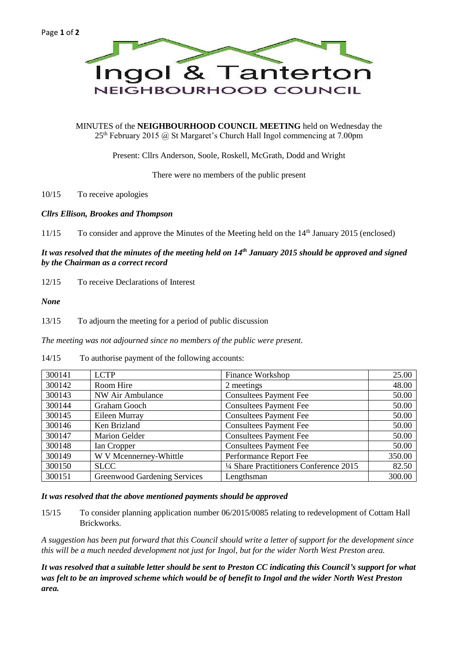

MINUTES of the **NEIGHBOURHOOD COUNCIL MEETING** held on Wednesday the  $25<sup>th</sup>$  February 2015 @ St Margaret's Church Hall Ingol commencing at 7.00pm

Present: Cllrs Anderson, Soole, Roskell, McGrath, Dodd and Wright

There were no members of the public present

10/15 To receive apologies

### *Cllrs Ellison, Brookes and Thompson*

11/15 To consider and approve the Minutes of the Meeting held on the 14th January 2015 (enclosed)

# *It was resolved that the minutes of the meeting held on 14th January 2015 should be approved and signed by the Chairman as a correct record*

12/15 To receive Declarations of Interest

### *None*

13/15 To adjourn the meeting for a period of public discussion

*The meeting was not adjourned since no members of the public were present.*

14/15 To authorise payment of the following accounts:

| 300141 | <b>LCTP</b>                  | Finance Workshop                        | 25.00  |
|--------|------------------------------|-----------------------------------------|--------|
| 300142 | Room Hire                    | 2 meetings                              | 48.00  |
| 300143 | NW Air Ambulance             | <b>Consultees Payment Fee</b>           | 50.00  |
| 300144 | Graham Gooch                 | <b>Consultees Payment Fee</b>           | 50.00  |
| 300145 | Eileen Murray                | <b>Consultees Payment Fee</b>           | 50.00  |
| 300146 | Ken Brizland                 | <b>Consultees Payment Fee</b>           | 50.00  |
| 300147 | <b>Marion Gelder</b>         | <b>Consultees Payment Fee</b>           | 50.00  |
| 300148 | Ian Cropper                  | <b>Consultees Payment Fee</b>           | 50.00  |
| 300149 | W V Mcennerney-Whittle       | Performance Report Fee                  | 350.00 |
| 300150 | <b>SLCC</b>                  | 1/4 Share Practitioners Conference 2015 | 82.50  |
| 300151 | Greenwood Gardening Services | Lengthsman                              | 300.00 |

### *It was resolved that the above mentioned payments should be approved*

15/15 To consider planning application number 06/2015/0085 relating to redevelopment of Cottam Hall Brickworks.

*A suggestion has been put forward that this Council should write a letter of support for the development since this will be a much needed development not just for Ingol, but for the wider North West Preston area.*

*It was resolved that a suitable letter should be sent to Preston CC indicating this Council's support for what was felt to be an improved scheme which would be of benefit to Ingol and the wider North West Preston area.*